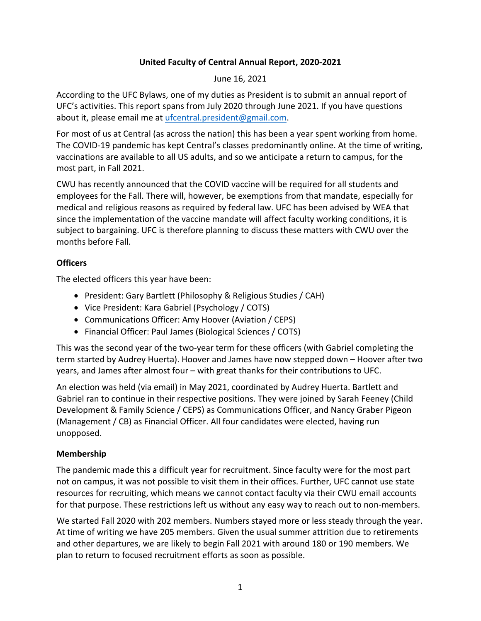## **United Faculty of Central Annual Report, 2020-2021**

#### June 16, 2021

According to the UFC Bylaws, one of my duties as President is to submit an annual report of UFC's activities. This report spans from July 2020 through June 2021. If you have questions about it, please email me at ufcentral.president@gmail.com.

For most of us at Central (as across the nation) this has been a year spent working from home. The COVID-19 pandemic has kept Central's classes predominantly online. At the time of writing, vaccinations are available to all US adults, and so we anticipate a return to campus, for the most part, in Fall 2021.

CWU has recently announced that the COVID vaccine will be required for all students and employees for the Fall. There will, however, be exemptions from that mandate, especially for medical and religious reasons as required by federal law. UFC has been advised by WEA that since the implementation of the vaccine mandate will affect faculty working conditions, it is subject to bargaining. UFC is therefore planning to discuss these matters with CWU over the months before Fall.

#### **Officers**

The elected officers this year have been:

- President: Gary Bartlett (Philosophy & Religious Studies / CAH)
- Vice President: Kara Gabriel (Psychology / COTS)
- Communications Officer: Amy Hoover (Aviation / CEPS)
- Financial Officer: Paul James (Biological Sciences / COTS)

This was the second year of the two-year term for these officers (with Gabriel completing the term started by Audrey Huerta). Hoover and James have now stepped down – Hoover after two years, and James after almost four – with great thanks for their contributions to UFC.

An election was held (via email) in May 2021, coordinated by Audrey Huerta. Bartlett and Gabriel ran to continue in their respective positions. They were joined by Sarah Feeney (Child Development & Family Science / CEPS) as Communications Officer, and Nancy Graber Pigeon (Management / CB) as Financial Officer. All four candidates were elected, having run unopposed.

#### **Membership**

The pandemic made this a difficult year for recruitment. Since faculty were for the most part not on campus, it was not possible to visit them in their offices. Further, UFC cannot use state resources for recruiting, which means we cannot contact faculty via their CWU email accounts for that purpose. These restrictions left us without any easy way to reach out to non-members.

We started Fall 2020 with 202 members. Numbers stayed more or less steady through the year. At time of writing we have 205 members. Given the usual summer attrition due to retirements and other departures, we are likely to begin Fall 2021 with around 180 or 190 members. We plan to return to focused recruitment efforts as soon as possible.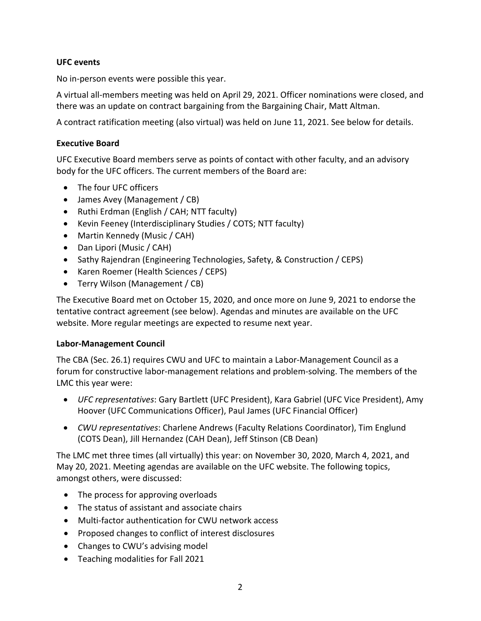#### **UFC events**

No in-person events were possible this year.

A virtual all-members meeting was held on April 29, 2021. Officer nominations were closed, and there was an update on contract bargaining from the Bargaining Chair, Matt Altman.

A contract ratification meeting (also virtual) was held on June 11, 2021. See below for details.

#### **Executive Board**

UFC Executive Board members serve as points of contact with other faculty, and an advisory body for the UFC officers. The current members of the Board are:

- The four UFC officers
- James Avey (Management / CB)
- Ruthi Erdman (English / CAH; NTT faculty)
- Kevin Feeney (Interdisciplinary Studies / COTS; NTT faculty)
- Martin Kennedy (Music / CAH)
- Dan Lipori (Music / CAH)
- Sathy Rajendran (Engineering Technologies, Safety, & Construction / CEPS)
- Karen Roemer (Health Sciences / CEPS)
- Terry Wilson (Management / CB)

The Executive Board met on October 15, 2020, and once more on June 9, 2021 to endorse the tentative contract agreement (see below). Agendas and minutes are available on the UFC website. More regular meetings are expected to resume next year.

#### **Labor-Management Council**

The CBA (Sec. 26.1) requires CWU and UFC to maintain a Labor-Management Council as a forum for constructive labor-management relations and problem-solving. The members of the LMC this year were:

- *UFC representatives*: Gary Bartlett (UFC President), Kara Gabriel (UFC Vice President), Amy Hoover (UFC Communications Officer), Paul James (UFC Financial Officer)
- *CWU representatives*: Charlene Andrews (Faculty Relations Coordinator), Tim Englund (COTS Dean), Jill Hernandez (CAH Dean), Jeff Stinson (CB Dean)

The LMC met three times (all virtually) this year: on November 30, 2020, March 4, 2021, and May 20, 2021. Meeting agendas are available on the UFC website. The following topics, amongst others, were discussed:

- The process for approving overloads
- The status of assistant and associate chairs
- Multi-factor authentication for CWU network access
- Proposed changes to conflict of interest disclosures
- Changes to CWU's advising model
- Teaching modalities for Fall 2021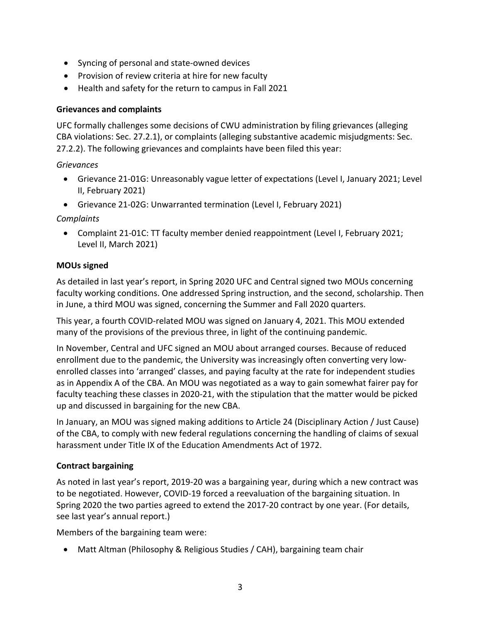- Syncing of personal and state-owned devices
- Provision of review criteria at hire for new faculty
- Health and safety for the return to campus in Fall 2021

## **Grievances and complaints**

UFC formally challenges some decisions of CWU administration by filing grievances (alleging CBA violations: Sec. 27.2.1), or complaints (alleging substantive academic misjudgments: Sec. 27.2.2). The following grievances and complaints have been filed this year:

*Grievances*

- Grievance 21-01G: Unreasonably vague letter of expectations (Level I, January 2021; Level II, February 2021)
- Grievance 21-02G: Unwarranted termination (Level I, February 2021)

*Complaints*

• Complaint 21-01C: TT faculty member denied reappointment (Level I, February 2021; Level II, March 2021)

# **MOUs signed**

As detailed in last year's report, in Spring 2020 UFC and Central signed two MOUs concerning faculty working conditions. One addressed Spring instruction, and the second, scholarship. Then in June, a third MOU was signed, concerning the Summer and Fall 2020 quarters.

This year, a fourth COVID-related MOU was signed on January 4, 2021. This MOU extended many of the provisions of the previous three, in light of the continuing pandemic.

In November, Central and UFC signed an MOU about arranged courses. Because of reduced enrollment due to the pandemic, the University was increasingly often converting very lowenrolled classes into 'arranged' classes, and paying faculty at the rate for independent studies as in Appendix A of the CBA. An MOU was negotiated as a way to gain somewhat fairer pay for faculty teaching these classes in 2020-21, with the stipulation that the matter would be picked up and discussed in bargaining for the new CBA.

In January, an MOU was signed making additions to Article 24 (Disciplinary Action / Just Cause) of the CBA, to comply with new federal regulations concerning the handling of claims of sexual harassment under Title IX of the Education Amendments Act of 1972.

# **Contract bargaining**

As noted in last year's report, 2019-20 was a bargaining year, during which a new contract was to be negotiated. However, COVID-19 forced a reevaluation of the bargaining situation. In Spring 2020 the two parties agreed to extend the 2017-20 contract by one year. (For details, see last year's annual report.)

Members of the bargaining team were:

• Matt Altman (Philosophy & Religious Studies / CAH), bargaining team chair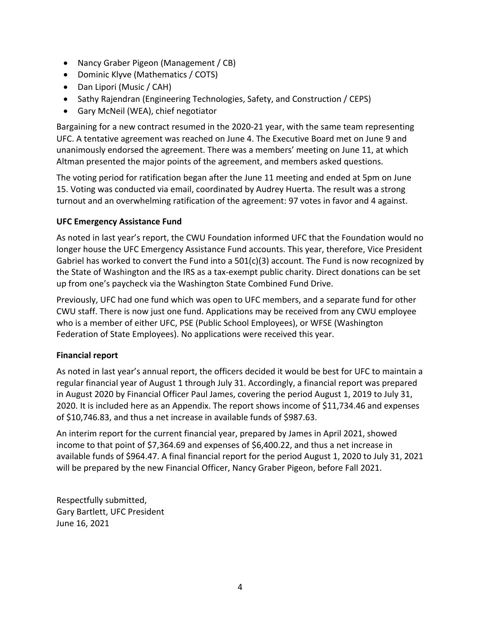- Nancy Graber Pigeon (Management / CB)
- Dominic Klyve (Mathematics / COTS)
- Dan Lipori (Music / CAH)
- Sathy Rajendran (Engineering Technologies, Safety, and Construction / CEPS)
- Gary McNeil (WEA), chief negotiator

Bargaining for a new contract resumed in the 2020-21 year, with the same team representing UFC. A tentative agreement was reached on June 4. The Executive Board met on June 9 and unanimously endorsed the agreement. There was a members' meeting on June 11, at which Altman presented the major points of the agreement, and members asked questions.

The voting period for ratification began after the June 11 meeting and ended at 5pm on June 15. Voting was conducted via email, coordinated by Audrey Huerta. The result was a strong turnout and an overwhelming ratification of the agreement: 97 votes in favor and 4 against.

## **UFC Emergency Assistance Fund**

As noted in last year's report, the CWU Foundation informed UFC that the Foundation would no longer house the UFC Emergency Assistance Fund accounts. This year, therefore, Vice President Gabriel has worked to convert the Fund into a  $501(c)(3)$  account. The Fund is now recognized by the State of Washington and the IRS as a tax-exempt public charity. Direct donations can be set up from one's paycheck via the Washington State Combined Fund Drive.

Previously, UFC had one fund which was open to UFC members, and a separate fund for other CWU staff. There is now just one fund. Applications may be received from any CWU employee who is a member of either UFC, PSE (Public School Employees), or WFSE (Washington Federation of State Employees). No applications were received this year.

#### **Financial report**

As noted in last year's annual report, the officers decided it would be best for UFC to maintain a regular financial year of August 1 through July 31. Accordingly, a financial report was prepared in August 2020 by Financial Officer Paul James, covering the period August 1, 2019 to July 31, 2020. It is included here as an Appendix. The report shows income of \$11,734.46 and expenses of \$10,746.83, and thus a net increase in available funds of \$987.63.

An interim report for the current financial year, prepared by James in April 2021, showed income to that point of \$7,364.69 and expenses of \$6,400.22, and thus a net increase in available funds of \$964.47. A final financial report for the period August 1, 2020 to July 31, 2021 will be prepared by the new Financial Officer, Nancy Graber Pigeon, before Fall 2021.

Respectfully submitted, Gary Bartlett, UFC President June 16, 2021